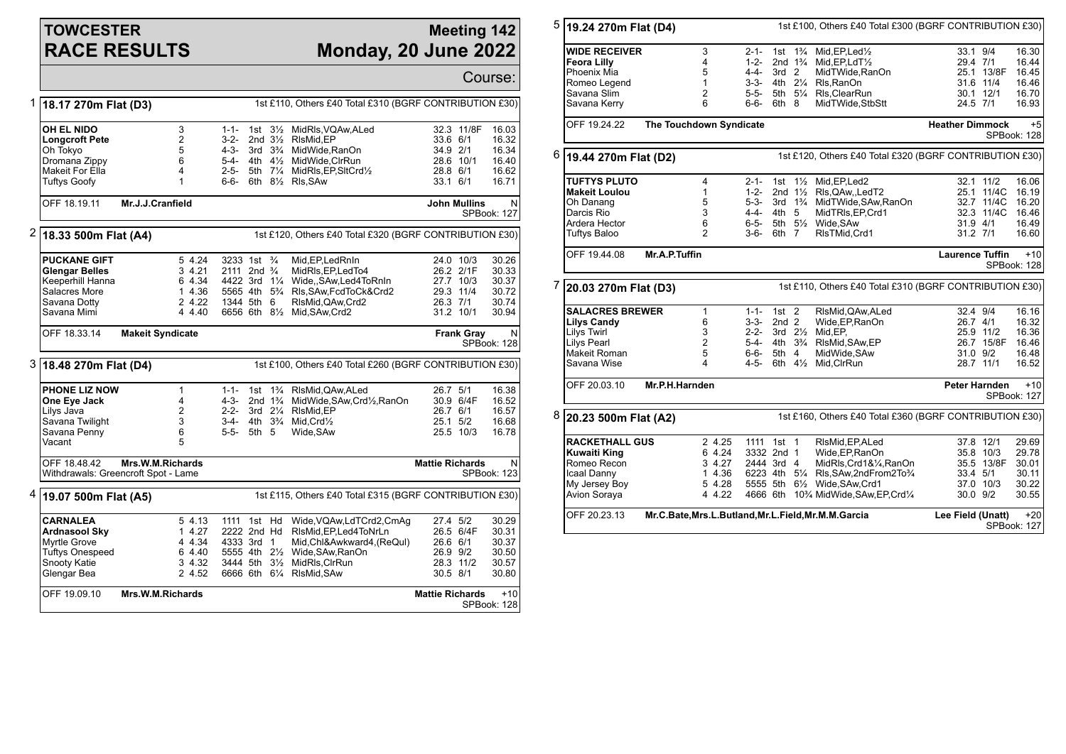## **TOWCESTER RACE RESULTS**

## **Meeting 142 Monday, 20 June 2022**

Course: 1 **18.17 270m Flat (D3)** 1st £110, Others £40 Total £310 (BGRF CONTRIBUTION £30) **OH EL NIDO** 3 1-1- 1st 3<sup>1</sup>/<sub>2</sub> MidRls, VQAw, ALed 32.3 11/8F 16.03<br> **Longcroft Pete** 2 3-2- 2nd 3<sup>1</sup>/<sub>2</sub> RIsMid. EP 33.6 6/1 16.32 **Longcroft Pete** 2 3-2- 2nd 3<sup>1</sup>/<sub>2</sub> RlsMid,EP 33.6 6/1 33.6 6/1 33.6 8/1 33.6 8/1 201 3.32 and 33.4.9 201 3.4.9 201 3.4.9 201 3.4.9 201 3.4.9 201 3.4.9 201 3.4.9 201 3.4.9 201 3.4.9 201 3.4.9 201 3.4.9 201 3.4.9 201 3.4.9 Oh Tokyo 5 4-3- 3rd 3¾ MidWide,RanOn 34.9 2/1 16.34 Dromana Zippy 6 5-4- 4th 4½ MidWide,ClrRun 28.6 10/1 16.40 Makeit For Ella 4 2-5- 5th 7¼ MidRls,EP,SltCrd½ 28.8 6/1 16.62 1 6-6- 6th 8<sup>1</sup>/<sub>2</sub> Rls, SAw 33.1 6/1 16.71 OFF 18.19.11 **Mr.J.J.Cranfield John Mullins** N SPBook: 127 2 **18.33 500m Flat (A4)** 1st £120, Others £40 Total £320 (BGRF CONTRIBUTION £30) **PUCKANE GIFT** 5 4.24 3233 1st ¾ Mid,EP,LedRnIn 24.0 10/3 30.26<br> **Glengar Belles** 3 4.21 2111 2nd ¾ MidRIs.EP,LedTo4 26.2 2/1F 30.33 **Glengar Belles** 3 4.21 2111 2nd ¾ MidRls,EP,LedTo4 26.2 2/1F 30.33 Keeperhill Hanna  $\begin{array}{r} 6 \text{ } 4.34 \quad 4422 \text{ } 3 \text{rd} \quad 1\frac{1}{4} \text{ } Wide, \text{SAw}, \text{Led4ToRnIn} \\ \text{Salacres More} \end{array}$ Salacres More 1 4.36 5565 4th 5¾ Rls,SAw,FcdToCk&Crd2 29.3 11/4 30.72 Savana Dotty 2 4.22 1344 5th 6 RlsMid,QAw,Crd2 26.3 7/1 30.74 6656 6th 81/2 Mid, SAw, Crd2 OFF 18.33.14 **Makeit Syndicate Frank Gray** N SPBook: 128 3 **18.48 270m Flat (D4)** 1st £100, Others £40 Total £260 (BGRF CONTRIBUTION £30) **PHONE LIZ NOW** 1 1-1- 1st 1<sup>3</sup>/<sub>4</sub> RisMid, QAw, ALed 26.7 5/1 16.38<br> **One Eye Jack 21 4 4-3-** 2nd 1<sup>3</sup>/<sub>4</sub> MidWide, SAw, Crd<sup>1</sup>/<sub>2</sub>, RanOn 30.9 6/4F 16.52 **One Eye Jack** 4 4-3- 2nd 1<sup>3</sup>/<sub>4</sub> MidWide,SAw,Crd½,RanOn 30.9 6/4F 16.52<br>
Lilys Java 2 2-2- 3rd 2<sup>1</sup>/<sub>4</sub> RIsMid,EP 26.7 6/1 16.57 2 2-2- 3rd 2¼ RIsMid.EP 26.7 6/1 16.57 Savana Twilight 3 3-4- 4th 3¾ Mid,Crd½ 25.1 5/2 16.68 Savana Penny 6 5-5- 5th 5 Wide,SAw 25.5 10/3 16.78 Vacant OFF 18.48.42 **Mrs.W.M.Richards** Withdrawals: Greencroft Spot - Lame **Mattie Richards** N SPBook: 123 4 **19.07 500m Flat (A5)** 1st £115, Others £40 Total £315 (BGRF CONTRIBUTION £30) **CARNALEA** 5 4.13 1111 1st Hd Wide,VQAw,LdTCrd2,CmAg 27.4 5/2 30.29 **Ardnasool Sky** 1 4.27 2222 2nd Hd RlsMid,EP,Led4ToNrLn 26.5 6/4F 30.31 Myrtle Grove **18 12 4 4.44 4.34 4.33 3rd 1 Mid,Chi&Awkward4, (ReQul)** 26.6 6/1 30.37<br>Tuftys Onespeed 6 4.40 5555 4th 2<sup>1/2</sup> Wide SAw RanOn 26.9 9/2 30.50 Tuftys Onespeed 6 4.40 5555 4th 2½ Wide,SAw,RanOn 26.9 9/2 30.50<br>Snooty Katie 3 4.32 3444 5th 3½ MidRls,ClrRun 28.3 11/2 30.57 Snooty Katie 3 4.32 3444 5th 3½ MidRls,ClrRun 28.3 11/2 30.57 2 4.52 6666 6th 6¼ RIsMid, SAw 30.5 8/1 30.80 OFF 19.09.10 **Mrs.W.M.Richards Mattie Richards** +10 SPBook: 128 5 **19.24 270m Flat (D4)** 1st £100, Others £40 Total £300 (BGRF CONTRIBUTION £30) **WIDE RECEIVER** 3 2-1- 1st 1¾ Mid,EP,Led½ 33.1 9/4 16.30<br> **Feora Lilly** 4 1-2- 2nd 1¾ Mid.EP.LdT½ 29.4 7/1 16.44 **Feora Lilly** 4 1-2- 2nd 1¾ Mid,EP,LdT½ 29.4 7/1 16.44 Phoenix Mia 5 4-4- 3rd 2 MidTWide,RanOn 25.1 13/8F 16.45 Romeo Legend 1 3-3- 4th 2¼ Rls,RanOn 31.6 11/4 16.46 Savana Slim 2 5-5- 5th 5¼ Rls,ClearRun 30.1 12/1 16.70 6 6-6- 6th 8 MidTWide,StbStt 24.5 7/1 16.93 OFF 19.24.22 **The Touchdown Syndicate Heather Dimmock** +5 SPBook: 128 6 **19.44 270m Flat (D2)** 1st £120, Others £40 Total £320 (BGRF CONTRIBUTION £30) **TUFTYS PLUTO** 4 2-1- 1st 1½ Mid,EP,Led2 32.1 11/2 16.06<br> **Makeit Loulou** 1 1-2- 2nd 1½ RIs.QAw.LedT2 25.1 11/4C 16.19 **Makeit Loulou** 1 1-2- 2nd 1½ Rls,QAw,,LedT2 25.1 11/4C 16.19 Oh Danang 5 5-3- 3rd 1¾ MidTWide,SAw,RanOn 32.7 11/4C 16.20 Darcis Rio 3 3 4-4- 4th 5 MidTRls,EP,Crd1<br>Ardera Hector 3 6 6-5- 5th 51/<sub>2</sub> Wide.SAw Ardera Hector 6 6-5- 5th 5½ Wide,SAw 31.9 4/1 16.49 2 3-6- 6th 7 RIsTMid.Crd1 31.2 7/1 16.60 OFF 19.44.08 **Mr.A.P.Tuffin Laurence Tuffin** +10 SPBook: 128 7 **20.03 270m Flat (D3)** 1st £110, Others £40 Total £310 (BGRF CONTRIBUTION £30) **SALACRES BREWER** 1 1-1- 1st 2 RIsMid, QAw, ALed 32.4 9/4 16.16<br> **Lilys Candy** 6 3-3- 2nd 2 Wide, EP, RanOn 26.7 4/1 16.32 **Lilys Candy** 6 3-3- 2nd 2 Wide, EP, RanOn 2.2-2 3rd 2<sup>1</sup>/<sub>2</sub> Mid, EP, 2001 Lilys Twirl 3 2-2- 3rd 2½ Mid,EP, 25.9 11/2 16.36 Lilys Pearl 2 5-4- 4th 3¾ RlsMid,SAw,EP 26.7 15/8F 16.46 Makeit Roman 5 6-6- 5th 4 MidWide,SAw 31.0 9/2 16.48 4 4-5- 6th 4½ Mid.ClrRun 28.7 11/1 16.52 OFF 20.03.10 **Mr.P.H.Harnden Peter Harnden** +10 SPBook: 127 8 **20.23 500m Flat (A2)** 1st £160, Others £40 Total £360 (BGRF CONTRIBUTION £30) **RACKETHALL GUS** 2 4.25 1111 1st 1 RIsMid, EP, ALed 37.8 12/1 29.69<br> **Kuwaiti King 3 3 3 4.24 3332 2nd 1 Wide. EP. Ran On** 35.8 10/3 29.78 **Kuwaiti King** 6 4.24 3332 2nd 1 Wide,EP,RanOn 35.8 10/3 29.78 Romeo Recon 3 4.27 2444 3rd 4 MidRls,Crd1&¼,RanOn 35.5 13/8F 30.01 Icaal Danny 1 4.36 6223 4th 5¼ Rls,SAw,2ndFrom2To¾ 33.4 5/1 30.11 My Jersey Boy 5 4.28 5555 5th 6½ Wide,SAw,Crd1 37.0 10/3 30.22<br>Avion Soraya 4 4.22 4666 6th 10¾ MidWide,SAw,EP,Crd¼ 30.0 9/2 30.55 4666 6th 10<sup>3</sup>/<sub>4</sub> MidWide,SAw,EP,Crd<sup>1</sup>/<sub>4</sub> OFF 20.23.13 **Mr.C.Bate,Mrs.L.Butland,Mr.L.Field,Mr.M.M.Garcia Lee Field (Unatt)** +20 SPBook: 127